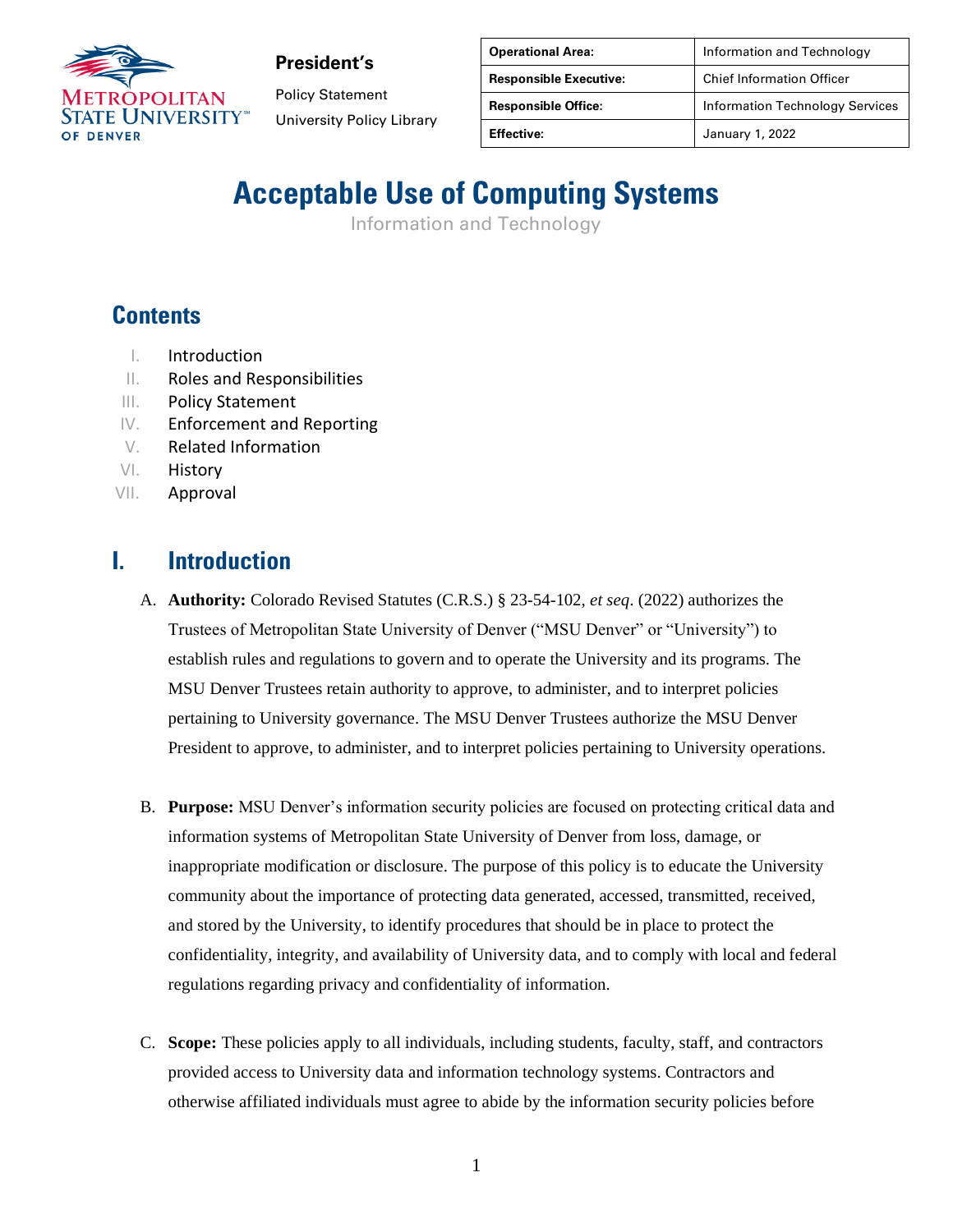

Policy Statement University Policy Library

| <b>Operational Area:</b>      | Information and Technology             |
|-------------------------------|----------------------------------------|
| <b>Responsible Executive:</b> | <b>Chief Information Officer</b>       |
| <b>Responsible Office:</b>    | <b>Information Technology Services</b> |
| <b>Effective:</b>             | January 1, 2022                        |

# **Acceptable Use of Computing Systems**

Information and Technology

## **Contents**

- I. Introduction
- II. Roles and Responsibilities
- III. Policy Statement
- IV. Enforcement and Reporting
- V. Related Information
- VI. History
- VII. Approval

### **I. Introduction**

- A. **Authority:** Colorado Revised Statutes (C.R.S.) § 23-54-102, *et seq*. (2022) authorizes the Trustees of Metropolitan State University of Denver ("MSU Denver" or "University") to establish rules and regulations to govern and to operate the University and its programs. The MSU Denver Trustees retain authority to approve, to administer, and to interpret policies pertaining to University governance. The MSU Denver Trustees authorize the MSU Denver President to approve, to administer, and to interpret policies pertaining to University operations.
- B. **Purpose:** MSU Denver's information security policies are focused on protecting critical data and information systems of Metropolitan State University of Denver from loss, damage, or inappropriate modification or disclosure. The purpose of this policy is to educate the University community about the importance of protecting data generated, accessed, transmitted, received, and stored by the University, to identify procedures that should be in place to protect the confidentiality, integrity, and availability of University data, and to comply with local and federal regulations regarding privacy and confidentiality of information.
- C. **Scope:** These policies apply to all individuals, including students, faculty, staff, and contractors provided access to University data and information technology systems. Contractors and otherwise affiliated individuals must agree to abide by the information security policies before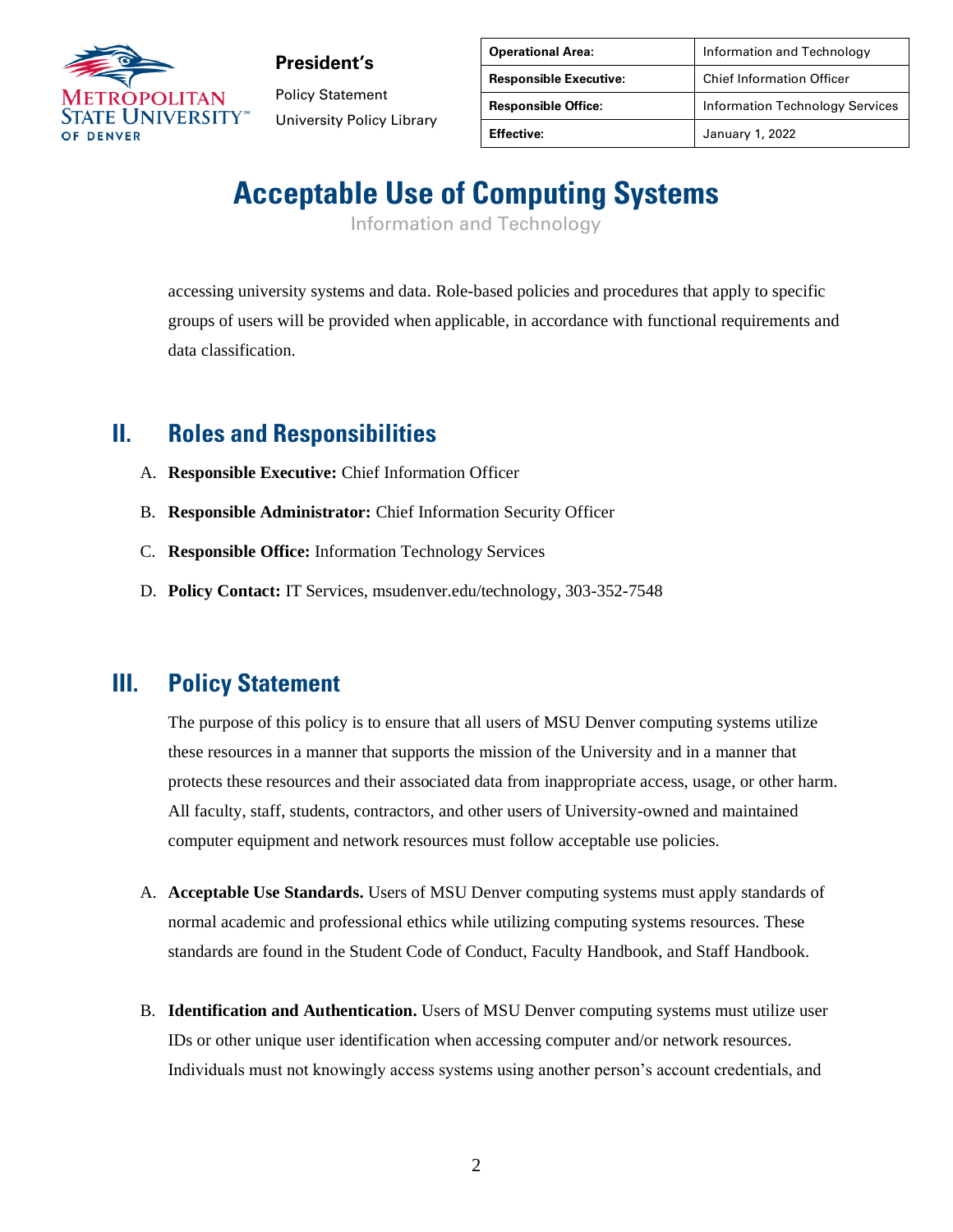

Policy Statement University Policy Library

| <b>Operational Area:</b>      | Information and Technology             |
|-------------------------------|----------------------------------------|
| <b>Responsible Executive:</b> | <b>Chief Information Officer</b>       |
| <b>Responsible Office:</b>    | <b>Information Technology Services</b> |
| <b>Effective:</b>             | January 1, 2022                        |

# **Acceptable Use of Computing Systems**

Information and Technology

accessing university systems and data. Role-based policies and procedures that apply to specific groups of users will be provided when applicable, in accordance with functional requirements and data classification.

### **II. Roles and Responsibilities**

- A. **Responsible Executive:** Chief Information Officer
- B. **Responsible Administrator:** Chief Information Security Officer
- C. **Responsible Office:** Information Technology Services
- D. **Policy Contact:** IT Services, msudenver.edu/technology, 303-352-7548

#### **III. Policy Statement**

The purpose of this policy is to ensure that all users of MSU Denver computing systems utilize these resources in a manner that supports the mission of the University and in a manner that protects these resources and their associated data from inappropriate access, usage, or other harm. All faculty, staff, students, contractors, and other users of University-owned and maintained computer equipment and network resources must follow acceptable use policies.

- A. **Acceptable Use Standards.** Users of MSU Denver computing systems must apply standards of normal academic and professional ethics while utilizing computing systems resources. These standards are found in the Student Code of Conduct, Faculty Handbook, and Staff Handbook.
- B. **Identification and Authentication.** Users of MSU Denver computing systems must utilize user IDs or other unique user identification when accessing computer and/or network resources. Individuals must not knowingly access systems using another person's account credentials, and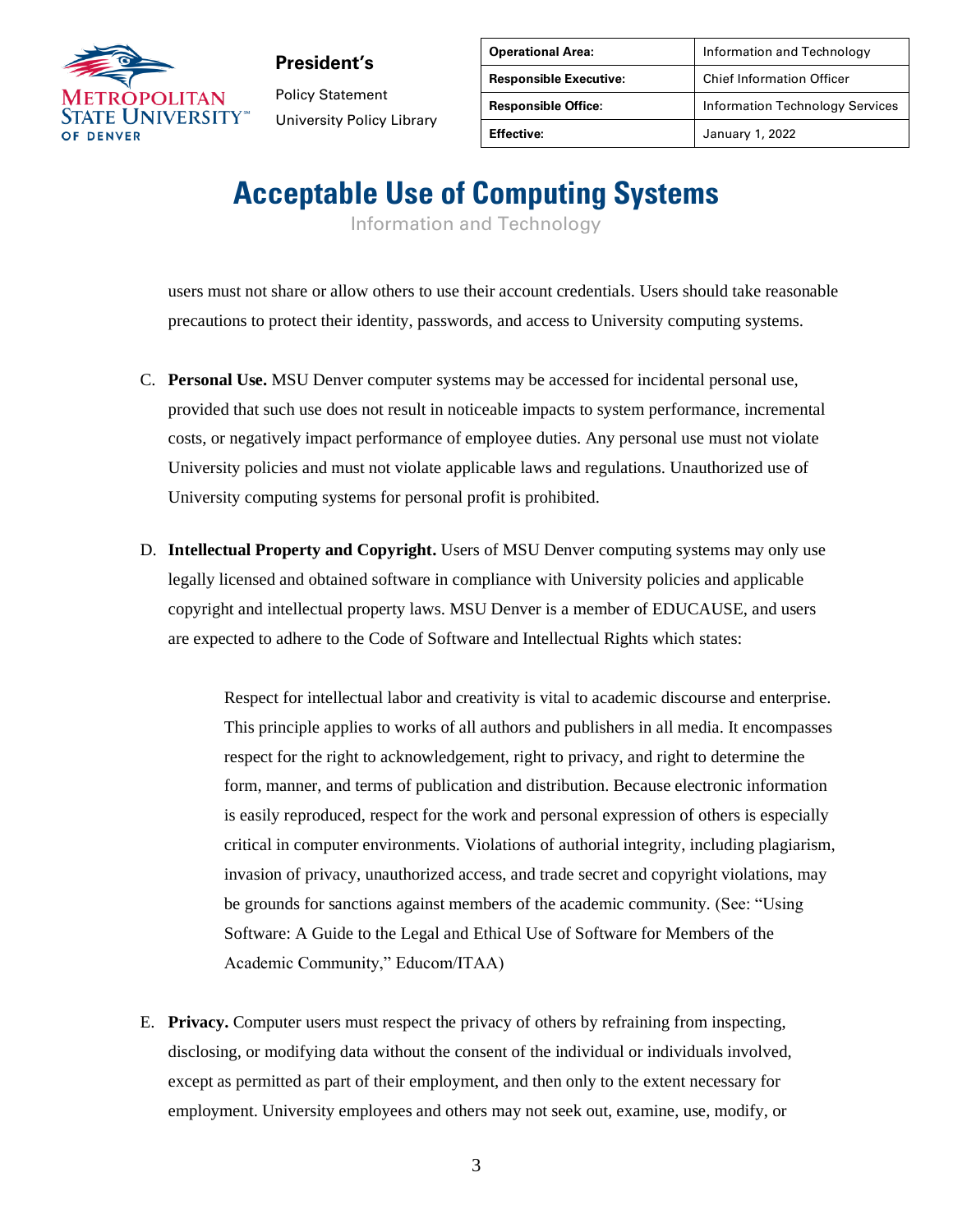

**President's** Policy Statement University Policy Library

| <b>Operational Area:</b>      | Information and Technology             |
|-------------------------------|----------------------------------------|
| <b>Responsible Executive:</b> | <b>Chief Information Officer</b>       |
| <b>Responsible Office:</b>    | <b>Information Technology Services</b> |
| <b>Effective:</b>             | January 1, 2022                        |

# **Acceptable Use of Computing Systems**

Information and Technology

users must not share or allow others to use their account credentials. Users should take reasonable precautions to protect their identity, passwords, and access to University computing systems.

- C. **Personal Use.** MSU Denver computer systems may be accessed for incidental personal use, provided that such use does not result in noticeable impacts to system performance, incremental costs, or negatively impact performance of employee duties. Any personal use must not violate University policies and must not violate applicable laws and regulations. Unauthorized use of University computing systems for personal profit is prohibited.
- D. **Intellectual Property and Copyright.** Users of MSU Denver computing systems may only use legally licensed and obtained software in compliance with University policies and applicable copyright and intellectual property laws. MSU Denver is a member of EDUCAUSE, and users are expected to adhere to the Code of Software and Intellectual Rights which states:

Respect for intellectual labor and creativity is vital to academic discourse and enterprise. This principle applies to works of all authors and publishers in all media. It encompasses respect for the right to acknowledgement, right to privacy, and right to determine the form, manner, and terms of publication and distribution. Because electronic information is easily reproduced, respect for the work and personal expression of others is especially critical in computer environments. Violations of authorial integrity, including plagiarism, invasion of privacy, unauthorized access, and trade secret and copyright violations, may be grounds for sanctions against members of the academic community. (See: "Using Software: A Guide to the Legal and Ethical Use of Software for Members of the Academic Community," Educom/ITAA)

E. **Privacy.** Computer users must respect the privacy of others by refraining from inspecting, disclosing, or modifying data without the consent of the individual or individuals involved, except as permitted as part of their employment, and then only to the extent necessary for employment. University employees and others may not seek out, examine, use, modify, or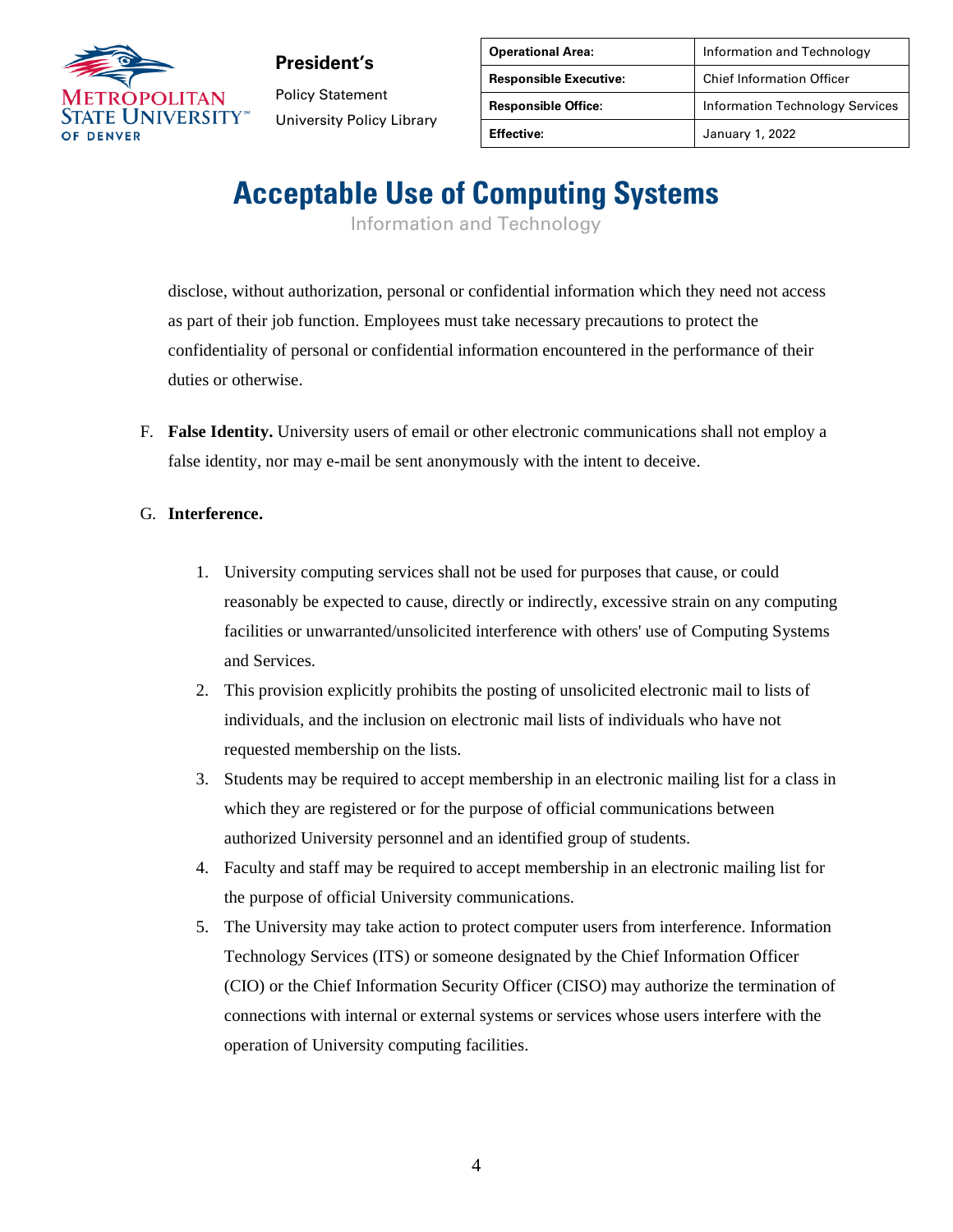

Policy Statement University Policy Library

| <b>Operational Area:</b>      | Information and Technology             |
|-------------------------------|----------------------------------------|
| <b>Responsible Executive:</b> | <b>Chief Information Officer</b>       |
| <b>Responsible Office:</b>    | <b>Information Technology Services</b> |
| <b>Effective:</b>             | January 1, 2022                        |

# **Acceptable Use of Computing Systems**

Information and Technology

disclose, without authorization, personal or confidential information which they need not access as part of their job function. Employees must take necessary precautions to protect the confidentiality of personal or confidential information encountered in the performance of their duties or otherwise.

F. **False Identity.** University users of email or other electronic communications shall not employ a false identity, nor may e-mail be sent anonymously with the intent to deceive.

#### G. **Interference.**

- 1. University computing services shall not be used for purposes that cause, or could reasonably be expected to cause, directly or indirectly, excessive strain on any computing facilities or unwarranted/unsolicited interference with others' use of Computing Systems and Services.
- 2. This provision explicitly prohibits the posting of unsolicited electronic mail to lists of individuals, and the inclusion on electronic mail lists of individuals who have not requested membership on the lists.
- 3. Students may be required to accept membership in an electronic mailing list for a class in which they are registered or for the purpose of official communications between authorized University personnel and an identified group of students.
- 4. Faculty and staff may be required to accept membership in an electronic mailing list for the purpose of official University communications.
- 5. The University may take action to protect computer users from interference. Information Technology Services (ITS) or someone designated by the Chief Information Officer (CIO) or the Chief Information Security Officer (CISO) may authorize the termination of connections with internal or external systems or services whose users interfere with the operation of University computing facilities.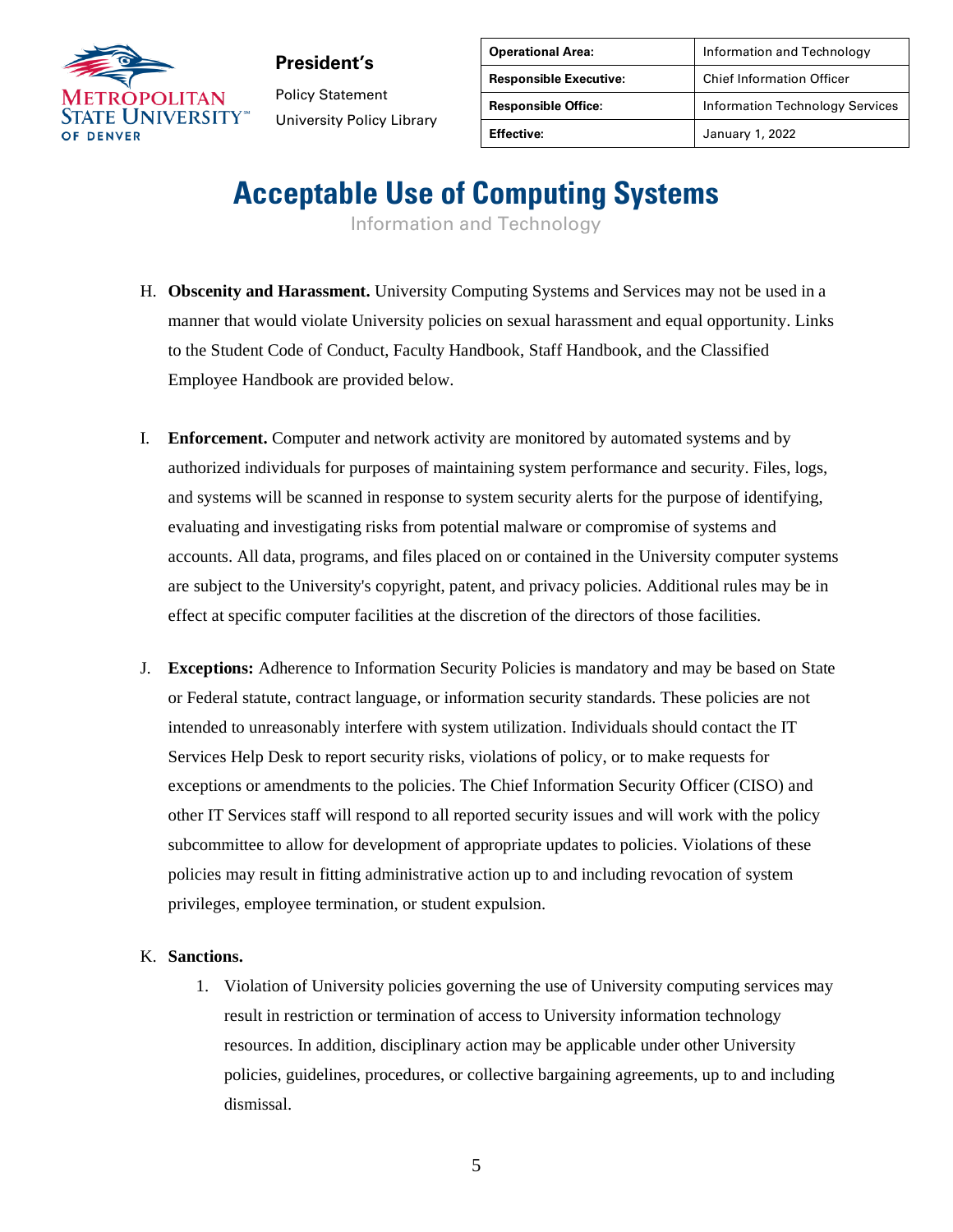

**President's** Policy Statement University Policy Library

| <b>Operational Area:</b>      | Information and Technology             |
|-------------------------------|----------------------------------------|
| <b>Responsible Executive:</b> | <b>Chief Information Officer</b>       |
| <b>Responsible Office:</b>    | <b>Information Technology Services</b> |
| <b>Effective:</b>             | January 1, 2022                        |

# **Acceptable Use of Computing Systems**

Information and Technology

- H. **Obscenity and Harassment.** University Computing Systems and Services may not be used in a manner that would violate University policies on sexual harassment and equal opportunity. Links to the Student Code of Conduct, Faculty Handbook, Staff Handbook, and the Classified Employee Handbook are provided below.
- I. **Enforcement.** Computer and network activity are monitored by automated systems and by authorized individuals for purposes of maintaining system performance and security. Files, logs, and systems will be scanned in response to system security alerts for the purpose of identifying, evaluating and investigating risks from potential malware or compromise of systems and accounts. All data, programs, and files placed on or contained in the University computer systems are subject to the University's copyright, patent, and privacy policies. Additional rules may be in effect at specific computer facilities at the discretion of the directors of those facilities.
- J. **Exceptions:** Adherence to Information Security Policies is mandatory and may be based on State or Federal statute, contract language, or information security standards. These policies are not intended to unreasonably interfere with system utilization. Individuals should contact the IT Services Help Desk to report security risks, violations of policy, or to make requests for exceptions or amendments to the policies. The Chief Information Security Officer (CISO) and other IT Services staff will respond to all reported security issues and will work with the policy subcommittee to allow for development of appropriate updates to policies. Violations of these policies may result in fitting administrative action up to and including revocation of system privileges, employee termination, or student expulsion.

#### K. **Sanctions.**

1. Violation of University policies governing the use of University computing services may result in restriction or termination of access to University information technology resources. In addition, disciplinary action may be applicable under other University policies, guidelines, procedures, or collective bargaining agreements, up to and including dismissal.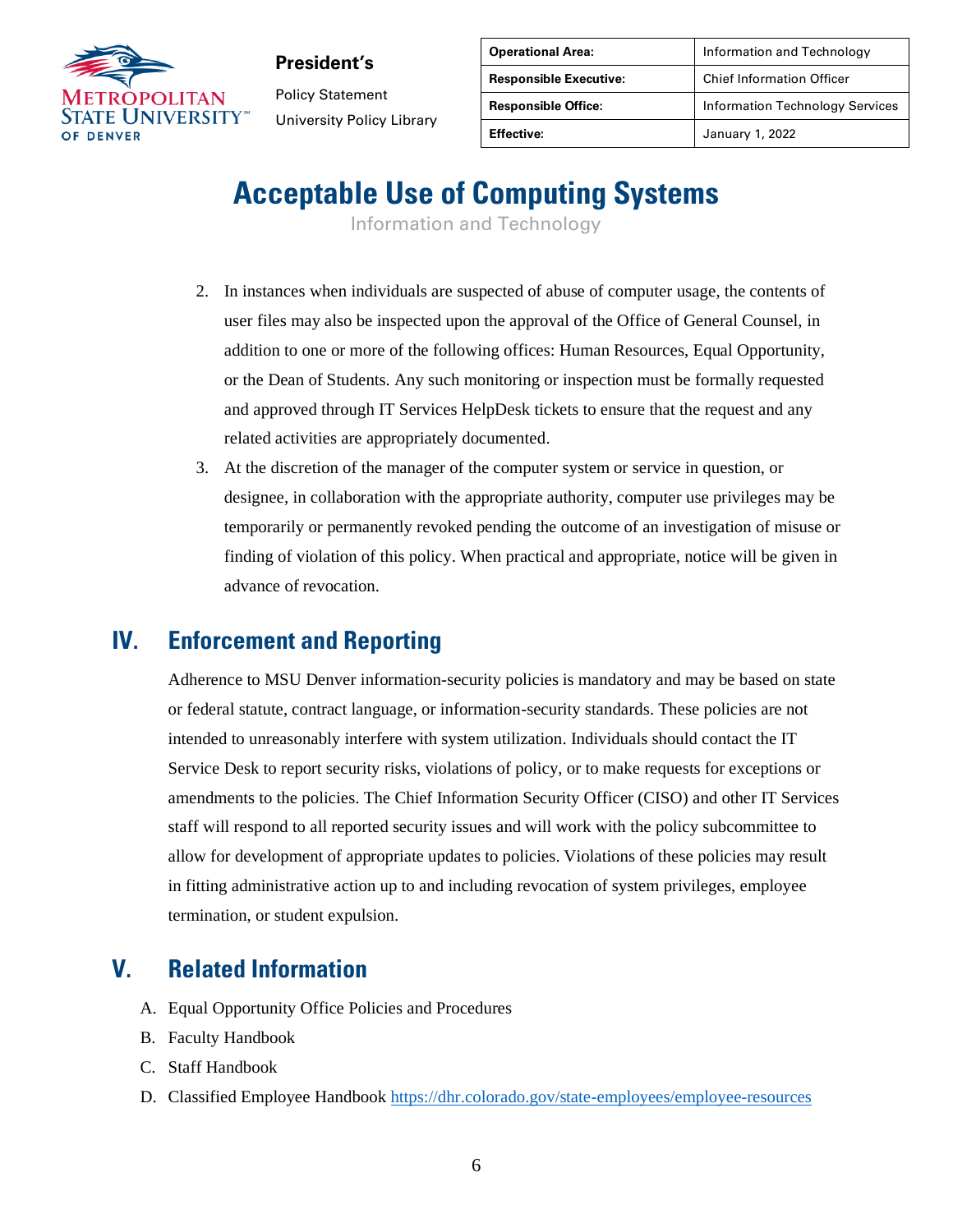

**President's** Policy Statement University Policy Library

| <b>Operational Area:</b>      | Information and Technology             |
|-------------------------------|----------------------------------------|
| <b>Responsible Executive:</b> | <b>Chief Information Officer</b>       |
| <b>Responsible Office:</b>    | <b>Information Technology Services</b> |
| <b>Effective:</b>             | January 1, 2022                        |

# **Acceptable Use of Computing Systems**

Information and Technology

- 2. In instances when individuals are suspected of abuse of computer usage, the contents of user files may also be inspected upon the approval of the Office of General Counsel, in addition to one or more of the following offices: Human Resources, Equal Opportunity, or the Dean of Students. Any such monitoring or inspection must be formally requested and approved through IT Services HelpDesk tickets to ensure that the request and any related activities are appropriately documented.
- 3. At the discretion of the manager of the computer system or service in question, or designee, in collaboration with the appropriate authority, computer use privileges may be temporarily or permanently revoked pending the outcome of an investigation of misuse or finding of violation of this policy. When practical and appropriate, notice will be given in advance of revocation.

#### **IV. Enforcement and Reporting**

Adherence to MSU Denver information-security policies is mandatory and may be based on state or federal statute, contract language, or information-security standards. These policies are not intended to unreasonably interfere with system utilization. Individuals should contact the IT Service Desk to report security risks, violations of policy, or to make requests for exceptions or amendments to the policies. The Chief Information Security Officer (CISO) and other IT Services staff will respond to all reported security issues and will work with the policy subcommittee to allow for development of appropriate updates to policies. Violations of these policies may result in fitting administrative action up to and including revocation of system privileges, employee termination, or student expulsion.

#### **V. Related Information**

- A. Equal Opportunity Office Policies and Procedures
- B. Faculty Handbook
- C. Staff Handbook
- D. Classified Employee Handbook <https://dhr.colorado.gov/state-employees/employee-resources>